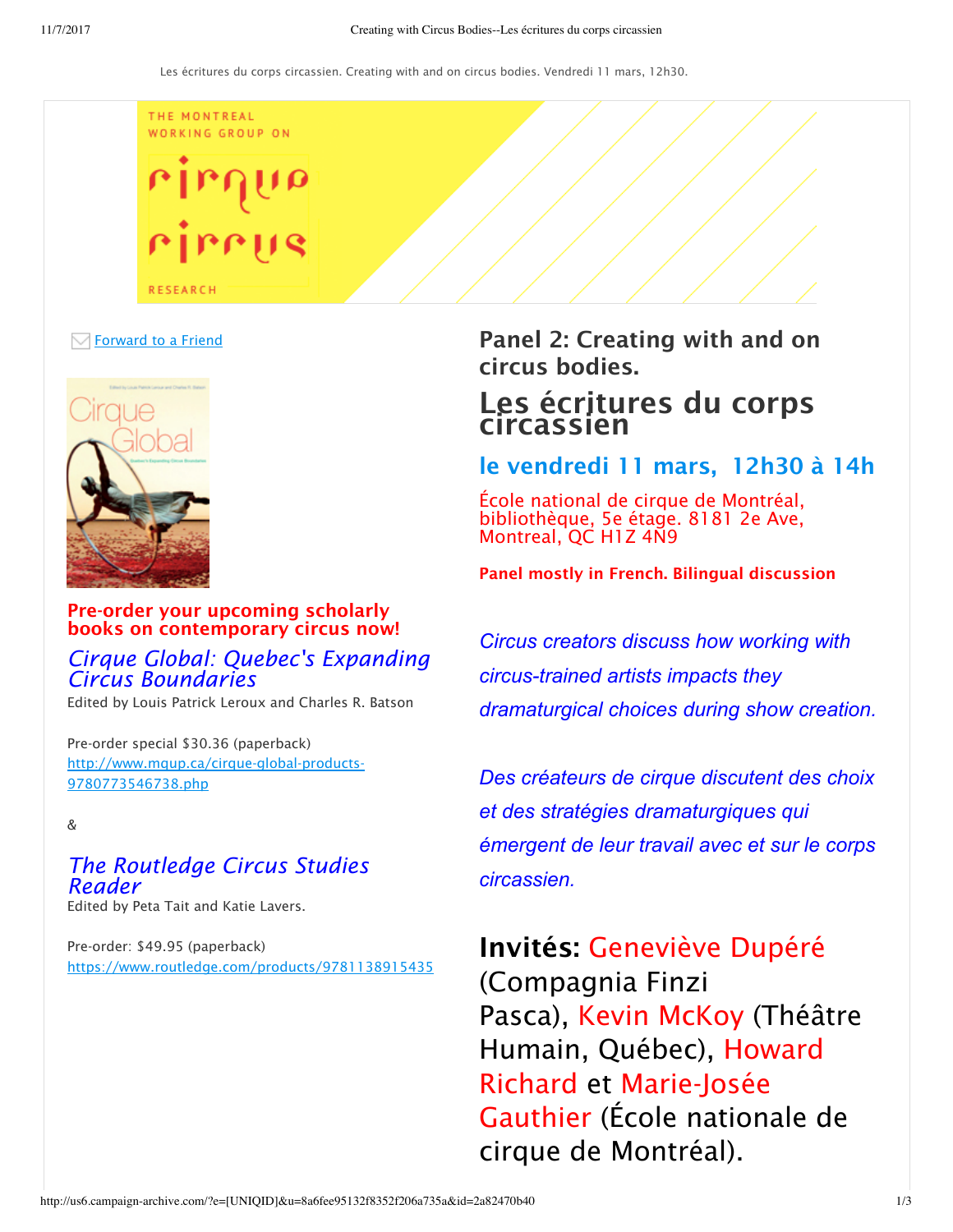THE MONTREAL WORKING GROUP ON

**RESEARCH** 

### $\boxdot$  Forward to a Friend



### Pre-order your upcoming scholarly books on contemporary circus now!

### *Cirque Global: Quebec's Expanding Circus Boundaries*

Edited by Louis Patrick Leroux and Charles R. Batson

Pre-order special \$30.36 (paperback) http://www.mqup.ca/cirque-global-products-9780773546738.php

&

### *The Routledge Circus Studies Reader*

Edited by Peta Tait and Katie Lavers.

Pre-order: \$49.95 (paperback) https://www.routledge.com/products/9781138915435 Panel 2: Creating with and on circus bodies.

# Les écritures du corps circassien

## le vendredi 11 mars, 12h30 à 14h

École national de cirque de Montréal, bibliothèque, 5e étage. 8181 2e Ave, Montreal, QC H1Z 4N9

Panel mostly in French. Bilingual discussion

*Circus creators discuss how working with circustrained artists impacts they dramaturgical choices during show creation.*

*Des créateurs de cirque discutent des choix et des stratégies dramaturgiques qui émergent de leur travail avec et sur le corps circassien.*

Invités: Geneviève Dupéré (Compagnia Finzi Pasca), Kevin McKoy (Théâtre Humain, Québec), Howard Richard et Marie-Josée Gauthier (École nationale de cirque de Montréal).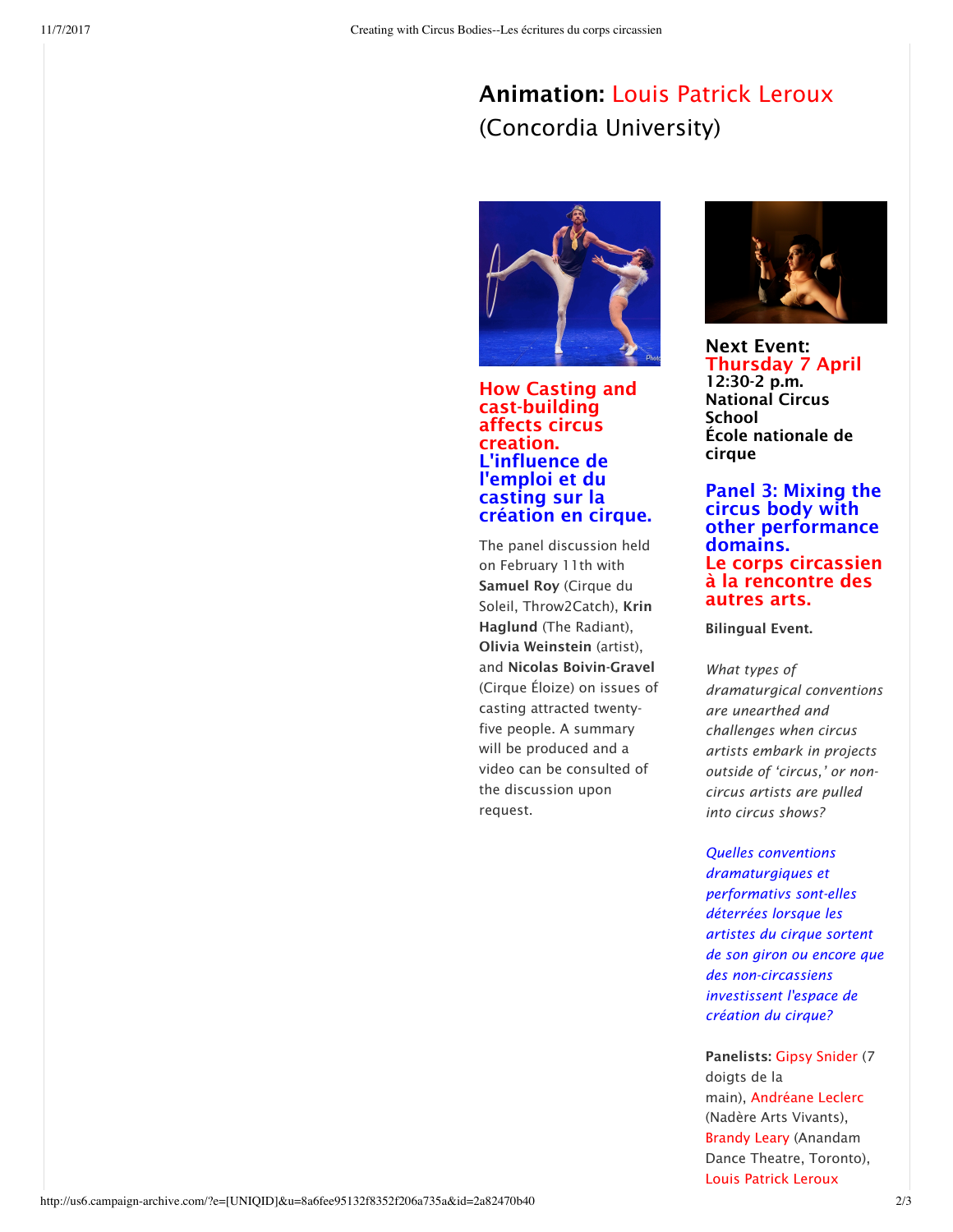# Animation: Louis Patrick Leroux (Concordia University)



How Casting and cast-building affects circus creation. L'influence de l'emploi et du casting sur la création en cirque.

The panel discussion held on February 11th with Samuel Roy (Cirque du Soleil, Throw2Catch), Krin Haglund (The Radiant), Olivia Weinstein (artist), and Nicolas Boivin-Gravel (Cirque Éloize) on issues of casting attracted twentyfive people. A summary will be produced and a video can be consulted of the discussion upon request.



Next Event: Thursday 7 April 12:30-2 p.m. National Circus School École nationale de cirque

Panel 3: Mixing the circus body with other performance domains. Le corps circassien à la rencontre des autres arts.

Bilingual Event.

*What types of dramaturgical conventions are unearthed and challenges when circus artists embark in projects outside of 'circus,' or noncircus artists are pulled into circus shows?*

*Quelles conventions dramaturgiques et performativs sont-elles déterrées lorsque les artistes du cirque sortent de son giron ou encore que des non-circassiens investissent l'espace de création du cirque?*

Panelists: Gipsy Snider (7 doigts de la main), Andréane Leclerc (Nadère Arts Vivants), Brandy Leary (Anandam Dance Theatre, Toronto), Louis Patrick Leroux